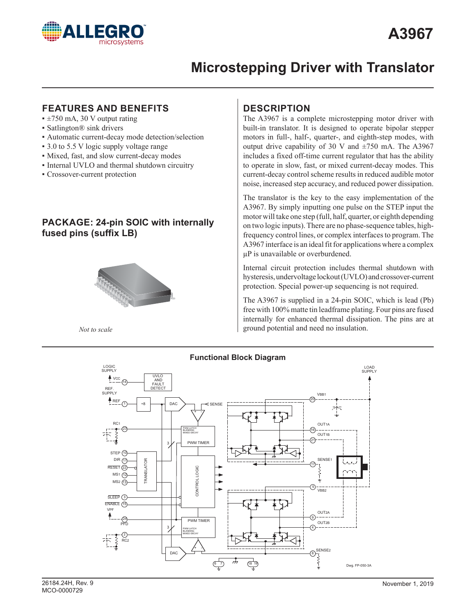

### **FEATURES AND BENEFITS**

- $\pm 750$  mA, 30 V output rating
- **Satlington® sink drivers**
- **Automatic current-decay mode detection/selection**
- 3.0 to 5.5 V logic supply voltage range
- Mixed, fast, and slow current-decay modes
- Internal UVLO and thermal shutdown circuitry
- Crossover-current protection

## **PACKAGE: 24-pin SOIC with internally fused pins (suffix LB)**



*Not to scale*

## **DESCRIPTION**

The A3967 is a complete microstepping motor driver with built-in translator. It is designed to operate bipolar stepper motors in full-, half-, quarter-, and eighth-step modes, with output drive capability of 30 V and  $\pm$ 750 mA. The A3967 includes a fixed off-time current regulator that has the ability to operate in slow, fast, or mixed current-decay modes. This current-decay control scheme results in reduced audible motor noise, increased step accuracy, and reduced power dissipation.

The translator is the key to the easy implementation of the A3967. By simply inputting one pulse on the STEP input the motor will take one step (full, half, quarter, or eighth depending on two logic inputs). There are no phase-sequence tables, highfrequency control lines, or complex interfaces to program. The A3967 interface is an ideal fit for applications where a complex µP is unavailable or overburdened.

Internal circuit protection includes thermal shutdown with hysteresis, undervoltage lockout (UVLO) and crossover-current protection. Special power-up sequencing is not required.

The A3967 is supplied in a 24-pin SOIC, which is lead (Pb) free with 100% matte tin leadframe plating. Four pins are fused internally for enhanced thermal dissipation. The pins are at ground potential and need no insulation.

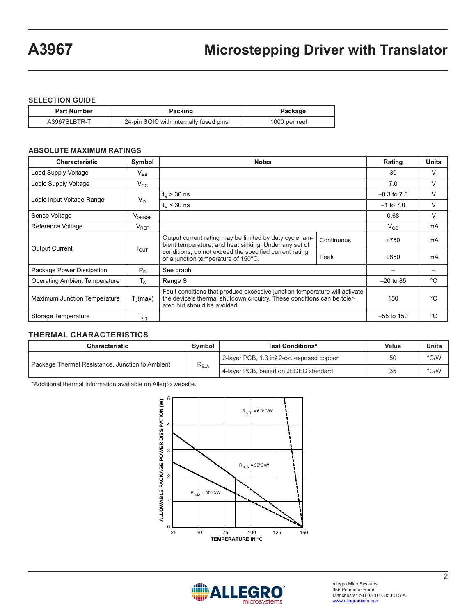#### **SELECTION GUIDE**

| <b>Part Number</b> | Packing                                | Package       |
|--------------------|----------------------------------------|---------------|
| A3967SLBTR-T       | 24-pin SOIC with internally fused pins | 1000 per reel |

#### **ABSOLUTE MAXIMUM RATINGS**

| <b>Characteristic</b>                | Symbol                        | <b>Notes</b>                                                                                                                                                                         | Rating     | <b>Units</b>    |    |  |
|--------------------------------------|-------------------------------|--------------------------------------------------------------------------------------------------------------------------------------------------------------------------------------|------------|-----------------|----|--|
| Load Supply Voltage                  | $V_{BB}$                      |                                                                                                                                                                                      |            |                 |    |  |
| Logic Supply Voltage                 | $V_{\rm CC}$                  |                                                                                                                                                                                      |            | 7.0             | V  |  |
|                                      |                               | $t_w > 30$ ns                                                                                                                                                                        |            | $-0.3$ to $7.0$ | V  |  |
| Logic Input Voltage Range            | $V_{IN}$                      | $t_{w}$ < 30 ns                                                                                                                                                                      |            | $-1$ to $7.0$   | V  |  |
| Sense Voltage                        | $\mathsf{V}_{\texttt{SENSE}}$ |                                                                                                                                                                                      |            | 0.68            | V  |  |
| Reference Voltage                    | $V_{REF}$                     |                                                                                                                                                                                      |            | $V_{CC}$        | mA |  |
| <b>Output Current</b>                | $I_{OUT}$                     | Output current rating may be limited by duty cycle, am-<br>bient temperature, and heat sinking. Under any set of                                                                     | Continuous | ±750            | mA |  |
|                                      |                               | conditions, do not exceed the specified current rating<br>or a junction temperature of 150°C.                                                                                        | Peak       | ±850            | mA |  |
| Package Power Dissipation            | $P_{D}$                       | See graph                                                                                                                                                                            |            |                 |    |  |
| <b>Operating Ambient Temperature</b> | $T_{A}$                       | Range S                                                                                                                                                                              |            |                 |    |  |
| Maximum Junction Temperature         | $T_{\rm d}$ (max)             | Fault conditions that produce excessive junction temperature will activate<br>the device's thermal shutdown circuitry. These conditions can be toler-<br>ated but should be avoided. | 150        | °C              |    |  |
| Storage Temperature                  | $T_{\text{stg}}$              |                                                                                                                                                                                      |            | $-55$ to 150    | °C |  |

#### **THERMAL CHARACTERISTICS**

| <b>Characteristic</b>                           | Symbol          | <b>Test Conditions*</b>                   | Value | <b>Units</b> |
|-------------------------------------------------|-----------------|-------------------------------------------|-------|--------------|
|                                                 | $R_{\theta JA}$ | 2-layer PCB, 1.3 in? 2-oz. exposed copper | 50    | °C/W         |
| Package Thermal Resistance, Junction to Ambient |                 | 4-layer PCB, based on JEDEC standard      | 35    | °C/W         |

\*Additional thermal information available on Allegro website.



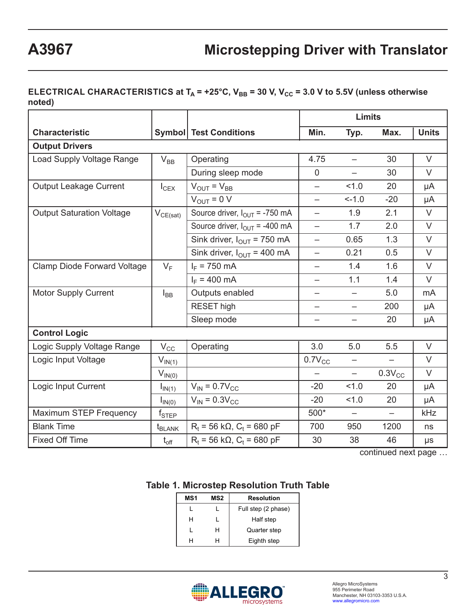## **ELECTRICAL CHARACTERISTICS at**  $T_A$  **= +25°C,**  $V_{BB}$  **= 30 V,**  $V_{CC}$  **= 3.0 V to 5.5V (unless otherwise noted)**

|                                    |                               |                                                | <b>Limits</b>            |                          |                   |              |
|------------------------------------|-------------------------------|------------------------------------------------|--------------------------|--------------------------|-------------------|--------------|
| <b>Characteristic</b>              |                               | <b>Symbol Test Conditions</b>                  | Min.                     | Typ.                     | Max.              | <b>Units</b> |
| <b>Output Drivers</b>              |                               |                                                |                          |                          |                   |              |
| Load Supply Voltage Range          | $V_{BB}$                      | Operating                                      | 4.75                     | $\equiv$                 | 30                | $\vee$       |
|                                    |                               | During sleep mode                              | $\overline{0}$           |                          | 30                | $\vee$       |
| <b>Output Leakage Current</b>      | $I_{CEX}$                     | $V_{\text{OUT}} = V_{\text{BB}}$               | $\overline{\phantom{0}}$ | 1.0                      | 20                | μA           |
|                                    |                               | $V_{OUT} = 0 V$                                | $\equiv$                 | $-1.0$                   | $-20$             | μA           |
| <b>Output Saturation Voltage</b>   | $V_{CE(sat)}$                 | Source driver, $I_{\text{OUT}}$ = -750 mA      | $\equiv$                 | 1.9                      | 2.1               | $\vee$       |
|                                    |                               | Source driver, $I_{OUT} = -400$ mA             | $\overline{\phantom{0}}$ | 1.7                      | 2.0               | $\vee$       |
|                                    |                               | Sink driver, $I_{\text{OUT}}$ = 750 mA         | $\overline{\phantom{0}}$ | 0.65                     | 1.3               | $\vee$       |
|                                    |                               | Sink driver, $I_{\text{OUT}} = 400 \text{ mA}$ | $\overline{\phantom{0}}$ | 0.21                     | 0.5               | $\vee$       |
| <b>Clamp Diode Forward Voltage</b> | $V_F$                         | $I_F = 750$ mA                                 | $\overline{\phantom{0}}$ | 1.4                      | 1.6               | $\vee$       |
|                                    |                               | $I_F = 400$ mA                                 | $\overline{\phantom{0}}$ | 1.1                      | 1.4               | $\vee$       |
| <b>Motor Supply Current</b>        | $I_{BB}$                      | Outputs enabled                                | —                        | $\qquad \qquad -$        | 5.0               | mA           |
|                                    |                               | <b>RESET</b> high                              | —                        | $\overline{\phantom{0}}$ | 200               | μA           |
|                                    |                               | Sleep mode                                     | —                        | —                        | 20                | μA           |
| <b>Control Logic</b>               |                               |                                                |                          |                          |                   |              |
| Logic Supply Voltage Range         | $V_{CC}$                      | Operating                                      | 3.0                      | 5.0                      | 5.5               | $\vee$       |
| Logic Input Voltage                | $V_{IN(1)}$                   |                                                | $0.7V_{CC}$              | —                        |                   | V            |
|                                    | $V_{IN(0)}$                   |                                                | $\overline{\phantom{0}}$ | $\overline{\phantom{0}}$ | $0.3V_{CC}$       | $\vee$       |
| Logic Input Current                | $I_{IN(1)}$                   | $V_{IN} = 0.7V_{CC}$                           | $-20$                    | 1.0                      | 20                | μA           |
|                                    | $I_{IN(0)}$                   | $V_{IN} = 0.3 V_{CC}$                          | $-20$                    | 1.0                      | 20                | μA           |
| <b>Maximum STEP Frequency</b>      | $f_{\scriptstyle\text{STEP}}$ |                                                | 500*                     | $\overline{\phantom{0}}$ | $\qquad \qquad -$ | kHz          |
| <b>Blank Time</b>                  | $t_{BLANK}$                   | $R_t$ = 56 k $\Omega$ , $C_t$ = 680 pF         | 700                      | 950                      | 1200              | ns           |
| <b>Fixed Off Time</b>              | $t_{\text{off}}$              | $R_t$ = 56 k $\Omega$ , $C_t$ = 680 pF         | 30                       | 38                       | 46                | μs           |

continued next page …

## **Table 1. Microstep Resolution Truth Table**

| MS1 | MS2 | <b>Resolution</b>   |
|-----|-----|---------------------|
|     |     | Full step (2 phase) |
| н   |     | Half step           |
|     | н   | Quarter step        |
|     |     | Eighth step         |

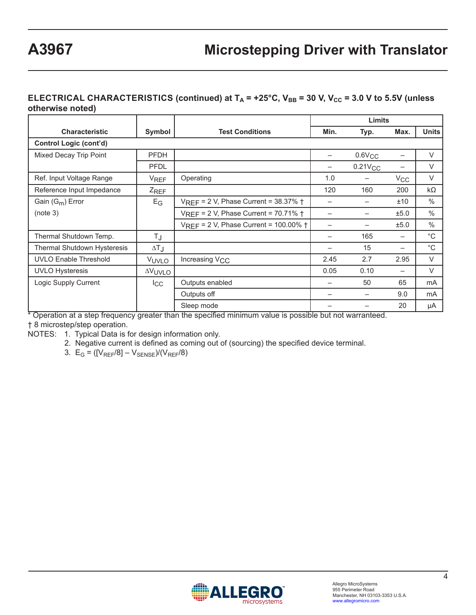#### **ELECTRICAL CHARACTERISTICS (continued) at**  $T_A$  **= +25°C,**  $V_{BB}$  **= 30 V,**  $V_{CC}$  **= 3.0 V to 5.5V (unless otherwise noted)**

|                                    |                   |                                                    |                          | Limits       |              |              |
|------------------------------------|-------------------|----------------------------------------------------|--------------------------|--------------|--------------|--------------|
| <b>Characteristic</b>              | Symbol            | <b>Test Conditions</b>                             | Min.                     | Typ.         | Max.         | <b>Units</b> |
| <b>Control Logic (cont'd)</b>      |                   |                                                    |                          |              |              |              |
| Mixed Decay Trip Point             | <b>PFDH</b>       |                                                    |                          | $0.6V_{CC}$  |              | $\vee$       |
|                                    | <b>PFDL</b>       |                                                    |                          | $0.21V_{CC}$ |              | $\vee$       |
| Ref. Input Voltage Range           | <b>VREF</b>       | Operating                                          | 1.0                      |              | $V_{\rm CC}$ | $\vee$       |
| Reference Input Impedance          | $Z_{REF}$         |                                                    | 120                      | 160          | 200          | $k\Omega$    |
| Gain $(G_m)$ Error                 | $E_G$             | VREF = 2 V, Phase Current = 38.37% +               |                          |              | ±10          | $\%$         |
| (note 3)                           |                   | VREF = 2 V, Phase Current = 70.71% +               |                          |              | ±5.0         | $\%$         |
|                                    |                   | $V_{REF}$ = 2 V, Phase Current = 100.00% $\dagger$ |                          |              | ±5.0         | $\%$         |
| Thermal Shutdown Temp.             | TJ                |                                                    | $\overline{\phantom{0}}$ | 165          |              | $^{\circ}C$  |
| <b>Thermal Shutdown Hysteresis</b> | $\Delta T_J$      |                                                    |                          | 15           |              | $^{\circ}C$  |
| <b>UVLO Enable Threshold</b>       | V <sub>UVLO</sub> | Increasing V <sub>CC</sub>                         | 2.45                     | 2.7          | 2.95         | $\vee$       |
| <b>UVLO Hysteresis</b>             | <b>AVUVLO</b>     |                                                    | 0.05                     | 0.10         | —            | $\vee$       |
| Logic Supply Current               | $_{\rm lcc}$      | Outputs enabled                                    |                          | 50           | 65           | mA           |
|                                    |                   | Outputs off                                        |                          |              | 9.0          | mA           |
|                                    |                   | Sleep mode                                         |                          |              | 20           | μA           |

\* Operation at a step frequency greater than the specified minimum value is possible but not warranteed.

† 8 microstep/step operation.

NOTES: 1. Typical Data is for design information only.

2. Negative current is defined as coming out of (sourcing) the specified device terminal.

3.  $E_G = ([V_{REF}/8] - V_{SENSE})/(V_{REF}/8)$ 

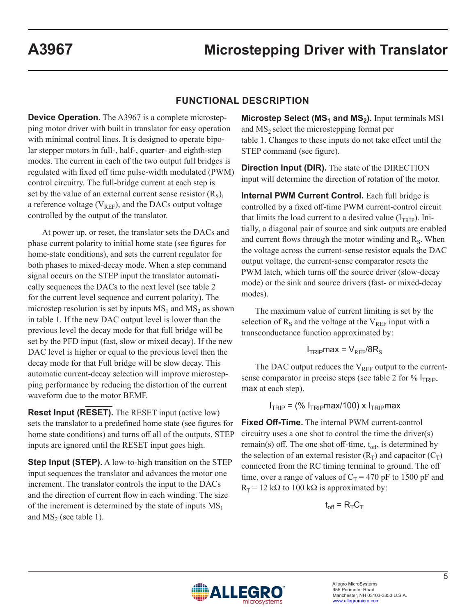#### **FUNCTIONAL DESCRIPTION**

**Device Operation.** The A3967 is a complete microstepping motor driver with built in translator for easy operation with minimal control lines. It is designed to operate bipolar stepper motors in full-, half-, quarter- and eighth-step modes. The current in each of the two output full bridges is regulated with fixed off time pulse-width modulated (PWM) control circuitry. The full-bridge current at each step is set by the value of an external current sense resistor  $(R<sub>S</sub>)$ , a reference voltage ( $V_{REF}$ ), and the DACs output voltage controlled by the output of the translator.

At power up, or reset, the translator sets the DACs and phase current polarity to initial home state (see figures for home-state conditions), and sets the current regulator for both phases to mixed-decay mode. When a step command signal occurs on the STEP input the translator automatically sequences the DACs to the next level (see table 2 for the current level sequence and current polarity). The microstep resolution is set by inputs  $MS_1$  and  $MS_2$  as shown in table 1. If the new DAC output level is lower than the previous level the decay mode for that full bridge will be set by the PFD input (fast, slow or mixed decay). If the new DAC level is higher or equal to the previous level then the decay mode for that Full bridge will be slow decay. This automatic current-decay selection will improve microstepping performance by reducing the distortion of the current waveform due to the motor BEMF.

**Reset Input (RESET).** The RESET input (active low) sets the translator to a predefined home state (see figures for home state conditions) and turns off all of the outputs. STEP inputs are ignored until the RESET input goes high.

**Step Input (STEP).** A low-to-high transition on the STEP input sequences the translator and advances the motor one increment. The translator controls the input to the DACs and the direction of current flow in each winding. The size of the increment is determined by the state of inputs  $MS<sub>1</sub>$ and  $MS<sub>2</sub>$  (see table 1).

**Microstep Select (MS<sub>1</sub> and MS<sub>2</sub>).** Input terminals MS1 and  $MS<sub>2</sub>$  select the microstepping format per table 1. Changes to these inputs do not take effect until the STEP command (see figure).

**Direction Input (DIR).** The state of the DIRECTION input will determine the direction of rotation of the motor.

**Internal PWM Current Control.** Each full bridge is controlled by a fixed off-time PWM current-control circuit that limits the load current to a desired value  $(I_{TRIP})$ . Initially, a diagonal pair of source and sink outputs are enabled and current flows through the motor winding and  $R<sub>S</sub>$ . When the voltage across the current-sense resistor equals the DAC output voltage, the current-sense comparator resets the PWM latch, which turns off the source driver (slow-decay mode) or the sink and source drivers (fast- or mixed-decay modes).

The maximum value of current limiting is set by the selection of  $R<sub>S</sub>$  and the voltage at the  $V<sub>REF</sub>$  input with a transconductance function approximated by:

$$
I_{TRIP} \text{max} = V_{REF} / 8R_S
$$

The DAC output reduces the  $V_{REF}$  output to the currentsense comparator in precise steps (see table 2 for  $%$   $I_{TRIP}$ . max at each step).

 $I<sub>TRIP</sub> =$  (%  $I<sub>TRIP</sub>max/100$ ) x  $I<sub>TRIP</sub>max$ 

**Fixed Off-Time.** The internal PWM current-control circuitry uses a one shot to control the time the driver(s) remain(s) off. The one shot off-time,  $t_{off}$ , is determined by the selection of an external resistor  $(R_T)$  and capacitor  $(C_T)$ connected from the RC timing terminal to ground. The off time, over a range of values of  $C_T = 470$  pF to 1500 pF and  $R_T$  = 12 kΩ to 100 kΩ is approximated by:

$$
\mathbf{t}_{\text{off}} = \mathsf{R}_{\text{T}} \mathsf{C}_{\text{T}}
$$

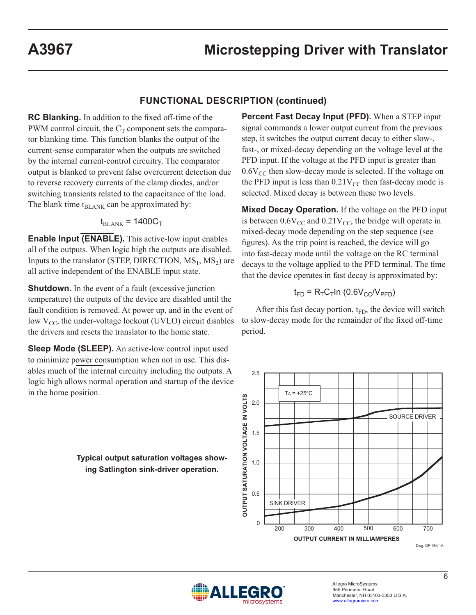### **FUNCTIONAL DESCRIPTION (continued)**

**RC Blanking.** In addition to the fixed off-time of the PWM control circuit, the  $C_T$  component sets the comparator blanking time. This function blanks the output of the current-sense comparator when the outputs are switched by the internal current-control circuitry. The comparator output is blanked to prevent false overcurrent detection due to reverse recovery currents of the clamp diodes, and/or switching transients related to the capacitance of the load. The blank time  $t_{BLANK}$  can be approximated by:

$$
t_{\text{BLANK}} = 1400 C_{\text{T}}
$$

**Enable Input (ENABLE).** This active-low input enables all of the outputs. When logic high the outputs are disabled. Inputs to the translator (STEP, DIRECTION,  $MS_1$ ,  $MS_2$ ) are all active independent of the ENABLE input state.

**Shutdown.** In the event of a fault (excessive junction temperature) the outputs of the device are disabled until the fault condition is removed. At power up, and in the event of low  $V_{CC}$ , the under-voltage lockout (UVLO) circuit disables the drivers and resets the translator to the home state.

**Sleep Mode (SLEEP).** An active-low control input used to minimize power consumption when not in use. This disables much of the internal circuitry including the outputs. A logic high allows normal operation and startup of the device in the home position.

> **Typical output saturation voltages showing Satlington sink-driver operation.**

**Percent Fast Decay Input (PFD).** When a STEP input signal commands a lower output current from the previous step, it switches the output current decay to either slow-, fast-, or mixed-decay depending on the voltage level at the PFD input. If the voltage at the PFD input is greater than  $0.6V_{CC}$  then slow-decay mode is selected. If the voltage on the PFD input is less than  $0.21V_{CC}$  then fast-decay mode is selected. Mixed decay is between these two levels.

**Mixed Decay Operation.** If the voltage on the PFD input is between  $0.6V_{CC}$  and  $0.21V_{CC}$ , the bridge will operate in mixed-decay mode depending on the step sequence (see figures). As the trip point is reached, the device will go into fast-decay mode until the voltage on the RC terminal decays to the voltage applied to the PFD terminal. The time that the device operates in fast decay is approximated by:

$$
t_{FD} = R_{T}C_{T} \ln (0.6 V_{CC}/V_{PFD})
$$

After this fast decay portion,  $t_{FD}$ , the device will switch to slow-decay mode for the remainder of the fixed off-time period.



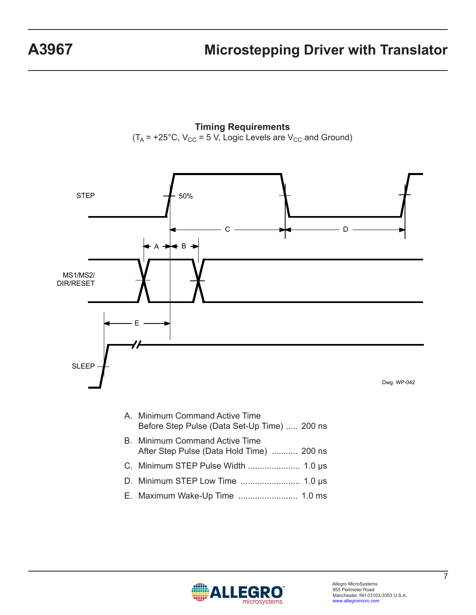**Timing Requirements**  $(T_A = +25^{\circ}C, V_{CC} = 5 V,$  Logic Levels are  $V_{CC}$  and Ground)



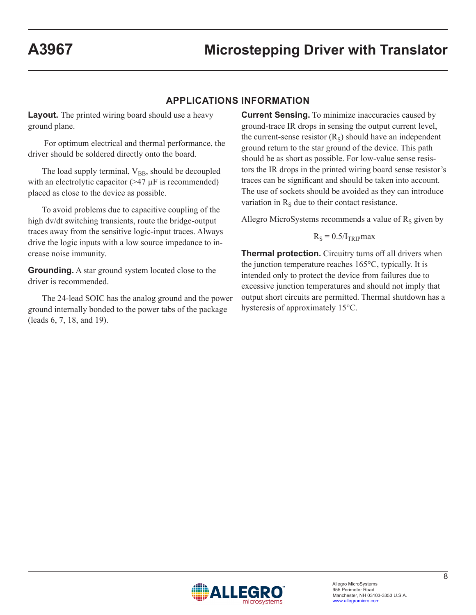## **APPLICATIONS INFORMATION**

**Layout.** The printed wiring board should use a heavy ground plane.

 For optimum electrical and thermal performance, the driver should be soldered directly onto the board.

The load supply terminal,  $V_{BB}$ , should be decoupled with an electrolytic capacitor  $(>47 \mu)$  is recommended) placed as close to the device as possible.

To avoid problems due to capacitive coupling of the high dv/dt switching transients, route the bridge-output traces away from the sensitive logic-input traces. Always drive the logic inputs with a low source impedance to increase noise immunity.

**Grounding.** A star ground system located close to the driver is recommended.

The 24-lead SOIC has the analog ground and the power ground internally bonded to the power tabs of the package (leads 6, 7, 18, and 19).

**Current Sensing.** To minimize inaccuracies caused by ground-trace IR drops in sensing the output current level, the current-sense resistor  $(R<sub>S</sub>)$  should have an independent ground return to the star ground of the device. This path should be as short as possible. For low-value sense resistors the IR drops in the printed wiring board sense resistor's traces can be significant and should be taken into account. The use of sockets should be avoided as they can introduce variation in  $R<sub>s</sub>$  due to their contact resistance.

Allegro MicroSystems recommends a value of  $R<sub>S</sub>$  given by

$$
R_S = 0.5/I_{TRIP} \text{max}
$$

**Thermal protection.** Circuitry turns off all drivers when the junction temperature reaches 165°C, typically. It is intended only to protect the device from failures due to excessive junction temperatures and should not imply that output short circuits are permitted. Thermal shutdown has a hysteresis of approximately 15°C.

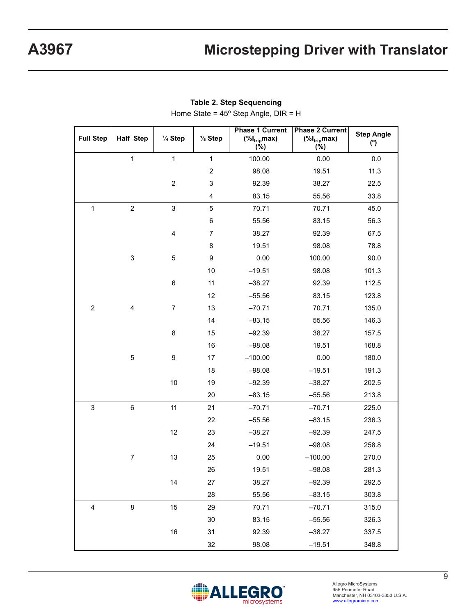| <b>Full Step</b> | <b>Half Step</b>          | 1/4 Step       | 1/8 Step                | <b>Phase 1 Current</b><br>$(\%I_{trip}$ max)<br>$(\%)$ | <b>Phase 2 Current</b><br>$(\%I_{trip}max)$<br>(%) | <b>Step Angle</b><br>(°) |
|------------------|---------------------------|----------------|-------------------------|--------------------------------------------------------|----------------------------------------------------|--------------------------|
|                  | $\mathbf{1}$              | $\mathbf{1}$   | $\mathbf{1}$            | 100.00                                                 | 0.00                                               | 0.0                      |
|                  |                           |                | $\boldsymbol{2}$        | 98.08                                                  | 19.51                                              | 11.3                     |
|                  |                           | $\overline{c}$ | $\mathbf 3$             | 92.39                                                  | 38.27                                              | 22.5                     |
|                  |                           |                | $\overline{\mathbf{4}}$ | 83.15                                                  | 55.56                                              | 33.8                     |
| $\mathbf{1}$     | $\overline{c}$            | $\mathbf{3}$   | 5                       | 70.71                                                  | 70.71                                              | 45.0                     |
|                  |                           |                | 6                       | 55.56                                                  | 83.15                                              | 56.3                     |
|                  |                           | 4              | $\overline{7}$          | 38.27                                                  | 92.39                                              | 67.5                     |
|                  |                           |                | 8                       | 19.51                                                  | 98.08                                              | 78.8                     |
|                  | $\ensuremath{\mathsf{3}}$ | 5              | $\boldsymbol{9}$        | 0.00                                                   | 100.00                                             | 90.0                     |
|                  |                           |                | 10                      | $-19.51$                                               | 98.08                                              | 101.3                    |
|                  |                           | 6              | 11                      | $-38.27$                                               | 92.39                                              | 112.5                    |
|                  |                           |                | 12                      | $-55.56$                                               | 83.15                                              | 123.8                    |
| $\sqrt{2}$       | $\overline{4}$            | $\overline{7}$ | 13                      | $-70.71$                                               | 70.71                                              | 135.0                    |
|                  |                           |                | 14                      | $-83.15$                                               | 55.56                                              | 146.3                    |
|                  |                           | 8              | 15                      | $-92.39$                                               | 38.27                                              | 157.5                    |
|                  |                           |                | 16                      | $-98.08$                                               | 19.51                                              | 168.8                    |
|                  | 5                         | 9              | 17                      | $-100.00$                                              | 0.00                                               | 180.0                    |
|                  |                           |                | 18                      | $-98.08$                                               | $-19.51$                                           | 191.3                    |
|                  |                           | 10             | 19                      | $-92.39$                                               | $-38.27$                                           | 202.5                    |
|                  |                           |                | 20                      | $-83.15$                                               | $-55.56$                                           | 213.8                    |
| $\sqrt{3}$       | $\,6$                     | 11             | 21                      | $-70.71$                                               | $-70.71$                                           | 225.0                    |
|                  |                           |                | 22                      | $-55.56$                                               | $-83.15$                                           | 236.3                    |
|                  |                           | 12             | 23                      | $-38.27$                                               | $-92.39$                                           | 247.5                    |
|                  |                           |                | 24                      | $-19.51$                                               | $-98.08$                                           | 258.8                    |
|                  | $\boldsymbol{7}$          | 13             | 25                      | 0.00                                                   | $-100.00$                                          | 270.0                    |
|                  |                           |                | 26                      | 19.51                                                  | $-98.08$                                           | 281.3                    |
|                  |                           | 14             | 27                      | 38.27                                                  | $-92.39$                                           | 292.5                    |
|                  |                           |                | 28                      | 55.56                                                  | $-83.15$                                           | 303.8                    |
| 4                | $\bf 8$                   | 15             | 29                      | 70.71                                                  | $-70.71$                                           | 315.0                    |
|                  |                           |                | 30                      | 83.15                                                  | $-55.56$                                           | 326.3                    |
|                  |                           | 16             | 31                      | 92.39                                                  | $-38.27$                                           | 337.5                    |
|                  |                           |                | 32                      | 98.08                                                  | $-19.51$                                           | 348.8                    |

**Table 2. Step Sequencing**

Home State = 45º Step Angle, DIR = H

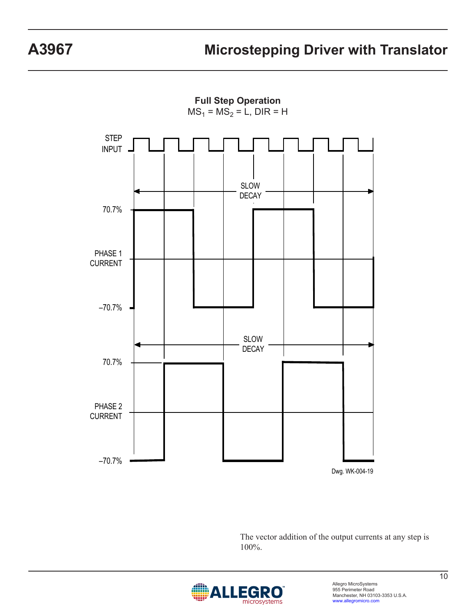**Full Step Operation**  $MS_1 = MS_2 = L$ , DIR = H



The vector addition of the output currents at any step is 100%.

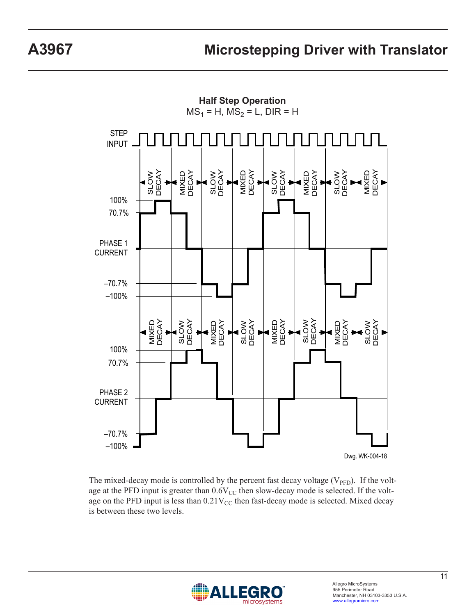

The mixed-decay mode is controlled by the percent fast decay voltage  $(V_{\text{PFD}})$ . If the voltage at the PFD input is greater than  $0.6V_{CC}$  then slow-decay mode is selected. If the voltage on the PFD input is less than  $0.21V_{CC}$  then fast-decay mode is selected. Mixed decay is between these two levels.

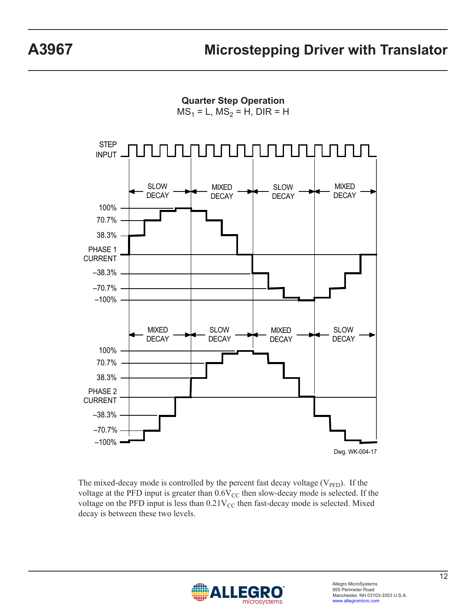**Quarter Step Operation**

 $MS_1 = L$ ,  $MS_2 = H$ , DIR = H



The mixed-decay mode is controlled by the percent fast decay voltage  $(V_{\text{PFD}})$ . If the voltage at the PFD input is greater than  $0.6V_{CC}$  then slow-decay mode is selected. If the voltage on the PFD input is less than  $0.21V_{CC}$  then fast-decay mode is selected. Mixed decay is between these two levels.

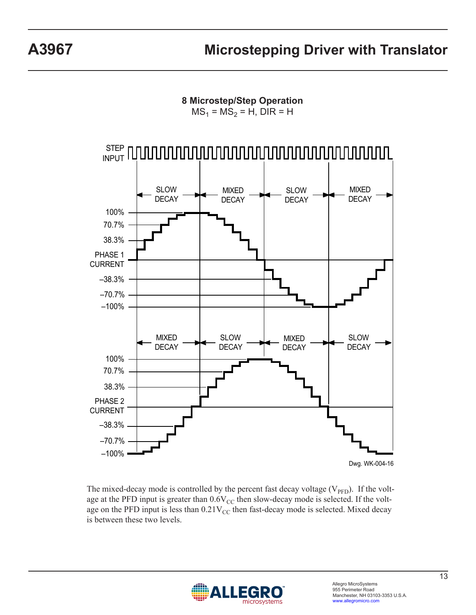**8 Microstep/Step Operation**

 $MS_1 = MS_2 = H$ , DIR = H



The mixed-decay mode is controlled by the percent fast decay voltage  $(V_{\text{PFD}})$ . If the voltage at the PFD input is greater than  $0.6V_{CC}$  then slow-decay mode is selected. If the voltage on the PFD input is less than  $0.21V_{CC}$  then fast-decay mode is selected. Mixed decay is between these two levels.

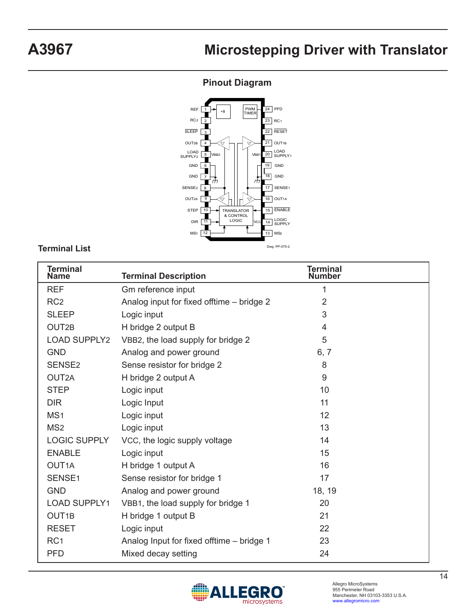## **Pinout Diagram**



#### **Terminal List**

| Terminal<br><b>Name</b> | <b>Terminal Description</b>               | <b>Terminal</b><br>Number |
|-------------------------|-------------------------------------------|---------------------------|
| <b>REF</b>              | Gm reference input                        | 1                         |
| RC <sub>2</sub>         | Analog input for fixed offtime - bridge 2 | $\overline{2}$            |
| <b>SLEEP</b>            | Logic input                               | 3                         |
| OUT <sub>2B</sub>       | H bridge 2 output B                       | 4                         |
| <b>LOAD SUPPLY2</b>     | VBB2, the load supply for bridge 2        | 5                         |
| <b>GND</b>              | Analog and power ground                   | 6, 7                      |
| SENSE <sub>2</sub>      | Sense resistor for bridge 2               | 8                         |
| OUT2A                   | H bridge 2 output A                       | 9                         |
| <b>STEP</b>             | Logic input                               | 10                        |
| <b>DIR</b>              | Logic Input                               | 11                        |
| MS <sub>1</sub>         | Logic input                               | 12                        |
| MS <sub>2</sub>         | Logic input                               | 13                        |
| <b>LOGIC SUPPLY</b>     | VCC, the logic supply voltage             | 14                        |
| <b>ENABLE</b>           | Logic input                               | 15                        |
| OUT <sub>1</sub> A      | H bridge 1 output A                       | 16                        |
| SENSE <sub>1</sub>      | Sense resistor for bridge 1               | 17                        |
| <b>GND</b>              | Analog and power ground                   | 18, 19                    |
| <b>LOAD SUPPLY1</b>     | VBB1, the load supply for bridge 1        | 20                        |
| OUT <sub>1B</sub>       | H bridge 1 output B                       | 21                        |
| <b>RESET</b>            | Logic input                               | 22                        |
| RC <sub>1</sub>         | Analog Input for fixed offtime - bridge 1 | 23                        |
| <b>PFD</b>              | Mixed decay setting                       | 24                        |

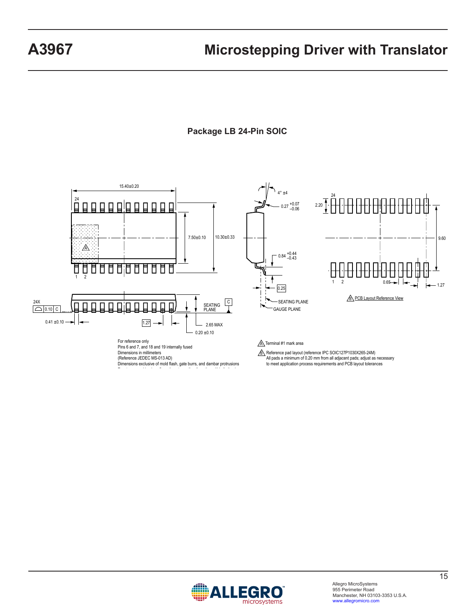**Package LB 24-Pin SOIC**